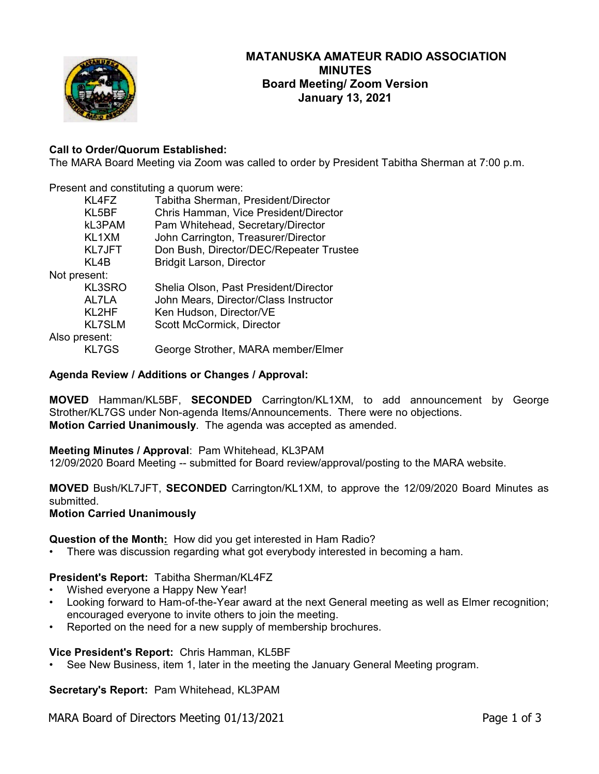

## **Call to Order/Quorum Established:**

The MARA Board Meeting via Zoom was called to order by President Tabitha Sherman at 7:00 p.m.

Present and constituting a quorum were:

|               | KL4FZ         | Tabitha Sherman, President/Director     |
|---------------|---------------|-----------------------------------------|
|               | KL5BF         | Chris Hamman, Vice President/Director   |
|               | kL3PAM        | Pam Whitehead, Secretary/Director       |
|               | KL1XM         | John Carrington, Treasurer/Director     |
|               | <b>KL7JFT</b> | Don Bush, Director/DEC/Repeater Trustee |
|               | KL4B          | <b>Bridgit Larson, Director</b>         |
| Not present:  |               |                                         |
|               | KL3SRO        | Shelia Olson, Past President/Director   |
|               | AL7LA         | John Mears, Director/Class Instructor   |
|               | KL2HF         | Ken Hudson, Director/VE                 |
|               | <b>KL7SLM</b> | Scott McCormick, Director               |
| Also present: |               |                                         |
|               | <b>KL7GS</b>  | George Strother, MARA member/Elmer      |
|               |               |                                         |

### **Agenda Review / Additions or Changes / Approval:**

**MOVED** Hamman/KL5BF, **SECONDED** Carrington/KL1XM, to add announcement by George Strother/KL7GS under Non-agenda Items/Announcements. There were no objections. **Motion Carried Unanimously**. The agenda was accepted as amended.

### **Meeting Minutes / Approval**: Pam Whitehead, KL3PAM

12/09/2020 Board Meeting -- submitted for Board review/approval/posting to the MARA website.

**MOVED** Bush/KL7JFT, **SECONDED** Carrington/KL1XM, to approve the 12/09/2020 Board Minutes as submitted.

**Motion Carried Unanimously**

**Question of the Month:** How did you get interested in Ham Radio?

There was discussion regarding what got everybody interested in becoming a ham.

### **President's Report:** Tabitha Sherman/KL4FZ

- Wished everyone a Happy New Year!
- Looking forward to Ham-of-the-Year award at the next General meeting as well as Elmer recognition; encouraged everyone to invite others to join the meeting.
- Reported on the need for a new supply of membership brochures.

### **Vice President's Report:** Chris Hamman, KL5BF

• See New Business, item 1, later in the meeting the January General Meeting program.

**Secretary's Report:** Pam Whitehead, KL3PAM

MARA Board of Directors Meeting 01/13/2021 Page 1 of 3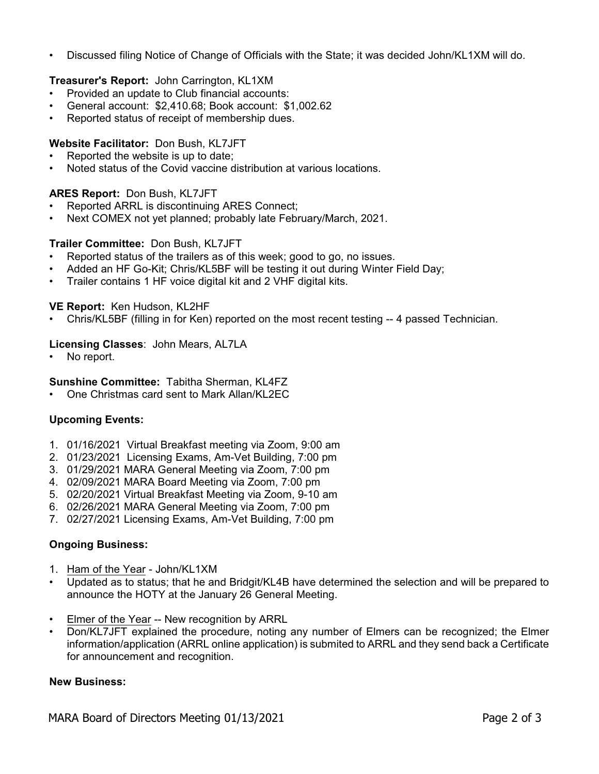• Discussed filing Notice of Change of Officials with the State; it was decided John/KL1XM will do.

# **Treasurer's Report:** John Carrington, KL1XM

- Provided an update to Club financial accounts:
- General account: \$2,410.68; Book account: \$1,002.62
- Reported status of receipt of membership dues.

### **Website Facilitator:** Don Bush, KL7JFT

- Reported the website is up to date;
- Noted status of the Covid vaccine distribution at various locations.

### **ARES Report:** Don Bush, KL7JFT

- Reported ARRL is discontinuing ARES Connect;
- Next COMEX not yet planned; probably late February/March, 2021.

### **Trailer Committee:** Don Bush, KL7JFT

- Reported status of the trailers as of this week; good to go, no issues.
- Added an HF Go-Kit; Chris/KL5BF will be testing it out during Winter Field Day;
- Trailer contains 1 HF voice digital kit and 2 VHF digital kits.

### **VE Report:** Ken Hudson, KL2HF

• Chris/KL5BF (filling in for Ken) reported on the most recent testing -- 4 passed Technician.

### **Licensing Classes**: John Mears, AL7LA

• No report.

### **Sunshine Committee:** Tabitha Sherman, KL4FZ

• One Christmas card sent to Mark Allan/KL2EC

## **Upcoming Events:**

- 1. 01/16/2021 Virtual Breakfast meeting via Zoom, 9:00 am
- 2. 01/23/2021 Licensing Exams, Am-Vet Building, 7:00 pm
- 3. 01/29/2021 MARA General Meeting via Zoom, 7:00 pm
- 4. 02/09/2021 MARA Board Meeting via Zoom, 7:00 pm
- 5. 02/20/2021 Virtual Breakfast Meeting via Zoom, 9-10 am
- 6. 02/26/2021 MARA General Meeting via Zoom, 7:00 pm
- 7. 02/27/2021 Licensing Exams, Am-Vet Building, 7:00 pm

### **Ongoing Business:**

- 1. Ham of the Year John/KL1XM
- Updated as to status; that he and Bridgit/KL4B have determined the selection and will be prepared to announce the HOTY at the January 26 General Meeting.
- Elmer of the Year -- New recognition by ARRL
- Don/KL7JFT explained the procedure, noting any number of Elmers can be recognized; the Elmer information/application (ARRL online application) is submited to ARRL and they send back a Certificate for announcement and recognition.

### **New Business:**